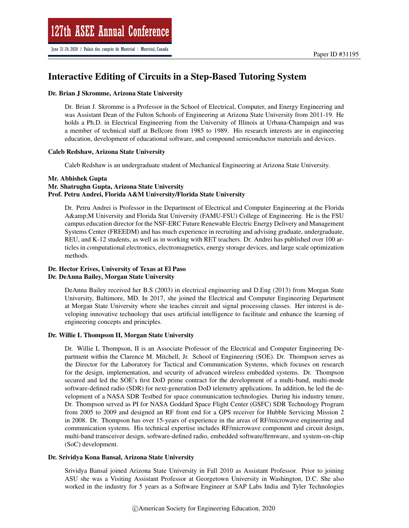# Interactive Editing of Circuits in a Step-Based Tutoring System

#### Dr. Brian J Skromme, Arizona State University

Dr. Brian J. Skromme is a Professor in the School of Electrical, Computer, and Energy Engineering and was Assistant Dean of the Fulton Schools of Engineering at Arizona State University from 2011-19. He holds a Ph.D. in Electrical Engineering from the University of Illinois at Urbana-Champaign and was a member of technical staff at Bellcore from 1985 to 1989. His research interests are in engineering education, development of educational software, and compound semiconductor materials and devices.

#### Caleb Redshaw, Arizona State University

Caleb Redshaw is an undergraduate student of Mechanical Engineering at Arizona State University.

### Mr. Abhishek Gupta Mr. Shatrughn Gupta, Arizona State University Prof. Petru Andrei, Florida A&M University/Florida State University

Dr. Petru Andrei is Professor in the Department of Electrical and Computer Engineering at the Florida A&M University and Florida Stat University (FAMU-FSU) College of Engineering. He is the FSU campus education director for the NSF-ERC Future Renewable Electric Energy Delivery and Management Systems Center (FREEDM) and has much experience in recruiting and advising graduate, undergraduate, REU, and K-12 students, as well as in working with RET teachers. Dr. Andrei has published over 100 articles in computational electronics, electromagnetics, energy storage devices, and large scale optimization methods.

### Dr. Hector Erives, University of Texas at El Paso Dr. DeAnna Bailey, Morgan State University

DeAnna Bailey received her B.S (2003) in electrical engineering and D.Eng (2013) from Morgan State University, Baltimore, MD. In 2017, she joined the Electrical and Computer Engineering Department at Morgan State University where she teaches circuit and signal processing classes. Her interest is developing innovative technology that uses artificial intelligence to facilitate and enhance the learning of engineering concepts and principles.

### Dr. Willie L Thompson II, Morgan State University

Dr. Willie L Thompson, II is an Associate Professor of the Electrical and Computer Engineering Department within the Clarence M. Mitchell, Jr. School of Engineering (SOE). Dr. Thompson serves as the Director for the Laboratory for Tactical and Communication Systems, which focuses on research for the design, implementation, and security of advanced wireless embedded systems. Dr. Thompson secured and led the SOE's first DoD prime contract for the development of a multi-band, multi-mode software-defined radio (SDR) for next-generation DoD telemetry applications. In addition, he led the development of a NASA SDR Testbed for space communication technologies. During his industry tenure, Dr. Thompson served as PI for NASA Goddard Space Flight Center (GSFC) SDR Technology Program from 2005 to 2009 and designed an RF front end for a GPS receiver for Hubble Servicing Mission 2 in 2008. Dr. Thompson has over 15-years of experience in the areas of RF/microwave engineering and communication systems. His technical expertise includes RF/microwave component and circuit design, multi-band transceiver design, software-defined radio, embedded software/firmware, and system-on-chip (SoC) development.

### Dr. Srividya Kona Bansal, Arizona State University

Srividya Bansal joined Arizona State University in Fall 2010 as Assistant Professor. Prior to joining ASU she was a Visiting Assistant Professor at Georgetown University in Washington, D.C. She also worked in the industry for 5 years as a Software Engineer at SAP Labs India and Tyler Technologies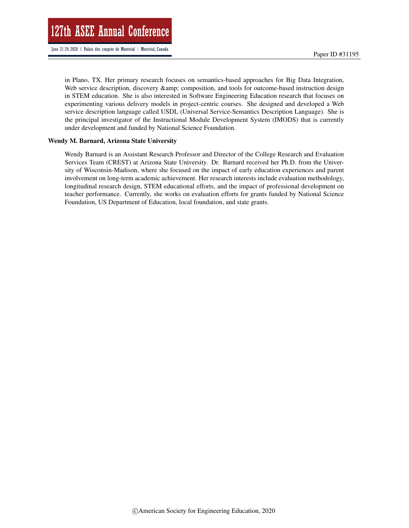in Plano, TX. Her primary research focuses on semantics-based approaches for Big Data Integration, Web service description, discovery & amp; composition, and tools for outcome-based instruction design in STEM education. She is also interested in Software Engineering Education research that focuses on experimenting various delivery models in project-centric courses. She designed and developed a Web service description language called USDL (Universal Service-Semantics Description Language). She is the principal investigator of the Instructional Module Development System (IMODS) that is currently under development and funded by National Science Foundation.

#### Wendy M. Barnard, Arizona State University

Wendy Barnard is an Assistant Research Professor and Director of the College Research and Evaluation Services Team (CREST) at Arizona State University. Dr. Barnard received her Ph.D. from the University of Wisconsin-Madison, where she focused on the impact of early education experiences and parent involvement on long-term academic achievement. Her research interests include evaluation methodology, longitudinal research design, STEM educational efforts, and the impact of professional development on teacher performance. Currently, she works on evaluation efforts for grants funded by National Science Foundation, US Department of Education, local foundation, and state grants.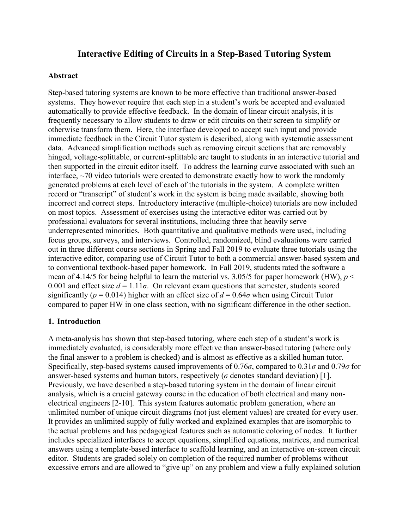# **Interactive Editing of Circuits in a Step-Based Tutoring System**

### **Abstract**

Step-based tutoring systems are known to be more effective than traditional answer-based systems. They however require that each step in a student's work be accepted and evaluated automatically to provide effective feedback. In the domain of linear circuit analysis, it is frequently necessary to allow students to draw or edit circuits on their screen to simplify or otherwise transform them. Here, the interface developed to accept such input and provide immediate feedback in the Circuit Tutor system is described, along with systematic assessment data. Advanced simplification methods such as removing circuit sections that are removably hinged, voltage-splittable, or current-splittable are taught to students in an interactive tutorial and then supported in the circuit editor itself. To address the learning curve associated with such an interface, ~70 video tutorials were created to demonstrate exactly how to work the randomly generated problems at each level of each of the tutorials in the system. A complete written record or "transcript" of student's work in the system is being made available, showing both incorrect and correct steps. Introductory interactive (multiple-choice) tutorials are now included on most topics. Assessment of exercises using the interactive editor was carried out by professional evaluators for several institutions, including three that heavily serve underrepresented minorities. Both quantitative and qualitative methods were used, including focus groups, surveys, and interviews. Controlled, randomized, blind evaluations were carried out in three different course sections in Spring and Fall 2019 to evaluate three tutorials using the interactive editor, comparing use of Circuit Tutor to both a commercial answer-based system and to conventional textbook-based paper homework. In Fall 2019, students rated the software a mean of 4.14/5 for being helpful to learn the material vs. 3.05/5 for paper homework (HW),  $p <$ 0.001 and effect size  $d = 1.11\sigma$ . On relevant exam questions that semester, students scored significantly ( $p = 0.014$ ) higher with an effect size of  $d = 0.64\sigma$  when using Circuit Tutor compared to paper HW in one class section, with no significant difference in the other section.

### **1. Introduction**

A meta-analysis has shown that step-based tutoring, where each step of a student's work is immediately evaluated, is considerably more effective than answer-based tutoring (where only the final answer to a problem is checked) and is almost as effective as a skilled human tutor. Specifically, step-based systems caused improvements of 0.76*σ*, compared to 0.31*σ* and 0.79*σ* for answer-based systems and human tutors, respectively ( $\sigma$  denotes standard deviation) [1]. Previously, we have described a step-based tutoring system in the domain of linear circuit analysis, which is a crucial gateway course in the education of both electrical and many nonelectrical engineers [2-10]. This system features automatic problem generation, where an unlimited number of unique circuit diagrams (not just element values) are created for every user. It provides an unlimited supply of fully worked and explained examples that are isomorphic to the actual problems and has pedagogical features such as automatic coloring of nodes. It further includes specialized interfaces to accept equations, simplified equations, matrices, and numerical answers using a template-based interface to scaffold learning, and an interactive on-screen circuit editor. Students are graded solely on completion of the required number of problems without excessive errors and are allowed to "give up" on any problem and view a fully explained solution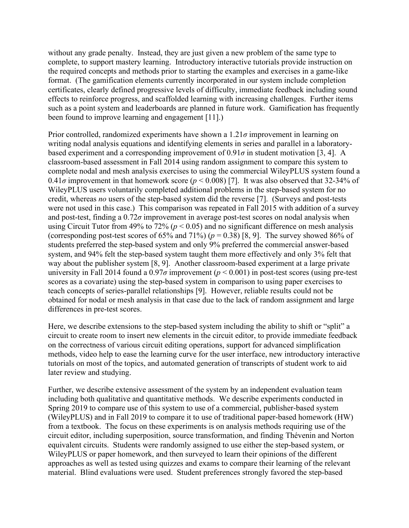without any grade penalty. Instead, they are just given a new problem of the same type to complete, to support mastery learning. Introductory interactive tutorials provide instruction on the required concepts and methods prior to starting the examples and exercises in a game-like format. (The gamification elements currently incorporated in our system include completion certificates, clearly defined progressive levels of difficulty, immediate feedback including sound effects to reinforce progress, and scaffolded learning with increasing challenges. Further items such as a point system and leaderboards are planned in future work. Gamification has frequently been found to improve learning and engagement [11].)

Prior controlled, randomized experiments have shown a 1.21*σ* improvement in learning on writing nodal analysis equations and identifying elements in series and parallel in a laboratorybased experiment and a corresponding improvement of  $0.91\sigma$  in student motivation [3, 4]. A classroom-based assessment in Fall 2014 using random assignment to compare this system to complete nodal and mesh analysis exercises to using the commercial WileyPLUS system found a 0.41 $\sigma$  improvement in that homework score ( $p < 0.008$ ) [7]. It was also observed that 32-34% of WileyPLUS users voluntarily completed additional problems in the step-based system for no credit, whereas *no* users of the step-based system did the reverse [7]. (Surveys and post-tests were not used in this case.) This comparison was repeated in Fall 2015 with addition of a survey and post-test, finding a  $0.72\sigma$  improvement in average post-test scores on nodal analysis when using Circuit Tutor from 49% to 72% ( $p < 0.05$ ) and no significant difference on mesh analysis (corresponding post-test scores of  $65\%$  and  $71\%$ ) ( $p = 0.38$ ) [8, 9]. The survey showed  $86\%$  of students preferred the step-based system and only 9% preferred the commercial answer-based system, and 94% felt the step-based system taught them more effectively and only 3% felt that way about the publisher system [8, 9]. Another classroom-based experiment at a large private university in Fall 2014 found a  $0.97\sigma$  improvement ( $p < 0.001$ ) in post-test scores (using pre-test scores as a covariate) using the step-based system in comparison to using paper exercises to teach concepts of series-parallel relationships [9]. However, reliable results could not be obtained for nodal or mesh analysis in that case due to the lack of random assignment and large differences in pre-test scores.

Here, we describe extensions to the step-based system including the ability to shift or "split" a circuit to create room to insert new elements in the circuit editor, to provide immediate feedback on the correctness of various circuit editing operations, support for advanced simplification methods, video help to ease the learning curve for the user interface, new introductory interactive tutorials on most of the topics, and automated generation of transcripts of student work to aid later review and studying.

Further, we describe extensive assessment of the system by an independent evaluation team including both qualitative and quantitative methods. We describe experiments conducted in Spring 2019 to compare use of this system to use of a commercial, publisher-based system (WileyPLUS) and in Fall 2019 to compare it to use of traditional paper-based homework (HW) from a textbook. The focus on these experiments is on analysis methods requiring use of the circuit editor, including superposition, source transformation, and finding Thévenin and Norton equivalent circuits. Students were randomly assigned to use either the step-based system, or WileyPLUS or paper homework, and then surveyed to learn their opinions of the different approaches as well as tested using quizzes and exams to compare their learning of the relevant material. Blind evaluations were used. Student preferences strongly favored the step-based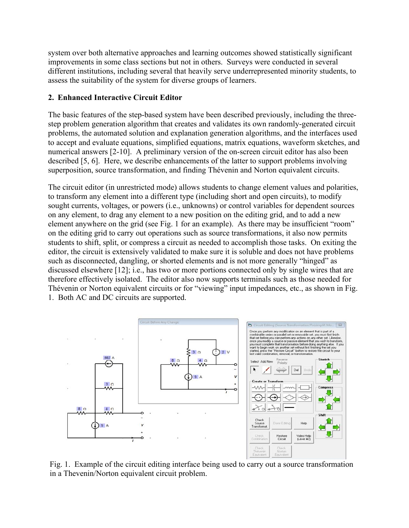system over both alternative approaches and learning outcomes showed statistically significant improvements in some class sections but not in others. Surveys were conducted in several different institutions, including several that heavily serve underrepresented minority students, to assess the suitability of the system for diverse groups of learners.

# **2. Enhanced Interactive Circuit Editor**

The basic features of the step-based system have been described previously, including the threestep problem generation algorithm that creates and validates its own randomly-generated circuit problems, the automated solution and explanation generation algorithms, and the interfaces used to accept and evaluate equations, simplified equations, matrix equations, waveform sketches, and numerical answers [2-10]. A preliminary version of the on-screen circuit editor has also been described [5, 6]. Here, we describe enhancements of the latter to support problems involving superposition, source transformation, and finding Thévenin and Norton equivalent circuits.

The circuit editor (in unrestricted mode) allows students to change element values and polarities, to transform any element into a different type (including short and open circuits), to modify sought currents, voltages, or powers (i.e., unknowns) or control variables for dependent sources on any element, to drag any element to a new position on the editing grid, and to add a new element anywhere on the grid (see Fig. 1 for an example). As there may be insufficient "room" on the editing grid to carry out operations such as source transformations, it also now permits students to shift, split, or compress a circuit as needed to accomplish those tasks. On exiting the editor, the circuit is extensively validated to make sure it is soluble and does not have problems such as disconnected, dangling, or shorted elements and is not more generally "hinged" as discussed elsewhere [12]; i.e., has two or more portions connected only by single wires that are therefore effectively isolated. The editor also now supports terminals such as those needed for Thévenin or Norton equivalent circuits or for "viewing" input impedances, etc., as shown in Fig. 1. Both AC and DC circuits are supported.



Fig. 1. Example of the circuit editing interface being used to carry out a source transformation in a Thevenin/Norton equivalent circuit problem.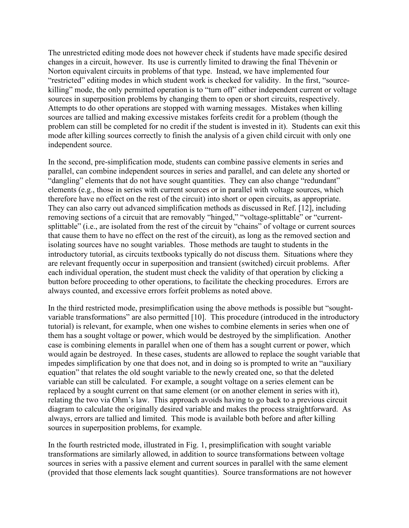The unrestricted editing mode does not however check if students have made specific desired changes in a circuit, however. Its use is currently limited to drawing the final Thévenin or Norton equivalent circuits in problems of that type. Instead, we have implemented four "restricted" editing modes in which student work is checked for validity. In the first, "sourcekilling" mode, the only permitted operation is to "turn off" either independent current or voltage sources in superposition problems by changing them to open or short circuits, respectively. Attempts to do other operations are stopped with warning messages. Mistakes when killing sources are tallied and making excessive mistakes forfeits credit for a problem (though the problem can still be completed for no credit if the student is invested in it). Students can exit this mode after killing sources correctly to finish the analysis of a given child circuit with only one independent source.

In the second, pre-simplification mode, students can combine passive elements in series and parallel, can combine independent sources in series and parallel, and can delete any shorted or "dangling" elements that do not have sought quantities. They can also change "redundant" elements (e.g., those in series with current sources or in parallel with voltage sources, which therefore have no effect on the rest of the circuit) into short or open circuits, as appropriate. They can also carry out advanced simplification methods as discussed in Ref. [12], including removing sections of a circuit that are removably "hinged," "voltage-splittable" or "currentsplittable" (i.e., are isolated from the rest of the circuit by "chains" of voltage or current sources that cause them to have no effect on the rest of the circuit), as long as the removed section and isolating sources have no sought variables. Those methods are taught to students in the introductory tutorial, as circuits textbooks typically do not discuss them. Situations where they are relevant frequently occur in superposition and transient (switched) circuit problems. After each individual operation, the student must check the validity of that operation by clicking a button before proceeding to other operations, to facilitate the checking procedures. Errors are always counted, and excessive errors forfeit problems as noted above.

In the third restricted mode, presimplification using the above methods is possible but "soughtvariable transformations" are also permitted [10]. This procedure (introduced in the introductory tutorial) is relevant, for example, when one wishes to combine elements in series when one of them has a sought voltage or power, which would be destroyed by the simplification. Another case is combining elements in parallel when one of them has a sought current or power, which would again be destroyed. In these cases, students are allowed to replace the sought variable that impedes simplification by one that does not, and in doing so is prompted to write an "auxiliary equation" that relates the old sought variable to the newly created one, so that the deleted variable can still be calculated. For example, a sought voltage on a series element can be replaced by a sought current on that same element (or on another element in series with it), relating the two via Ohm's law. This approach avoids having to go back to a previous circuit diagram to calculate the originally desired variable and makes the process straightforward. As always, errors are tallied and limited. This mode is available both before and after killing sources in superposition problems, for example.

In the fourth restricted mode, illustrated in Fig. 1, presimplification with sought variable transformations are similarly allowed, in addition to source transformations between voltage sources in series with a passive element and current sources in parallel with the same element (provided that those elements lack sought quantities). Source transformations are not however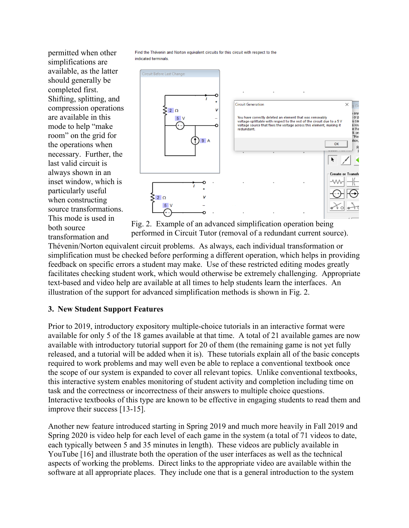permitted when other simplifications are available, as the latter should generally be completed first. Shifting, splitting, and compression operations are available in this mode to help "make room" on the grid for the operations when necessary. Further, the last valid circuit is always shown in an inset window, which is particularly useful when constructing source transformations. This mode is used in both source transformation and

Find the Thévenin and Norton equivalent circuits for this circuit with respect to the indicated terminals



Fig. 2. Example of an advanced simplification operation being performed in Circuit Tutor (removal of a redundant current source).

Thévenin/Norton equivalent circuit problems. As always, each individual transformation or simplification must be checked before performing a different operation, which helps in providing feedback on specific errors a student may make. Use of these restricted editing modes greatly facilitates checking student work, which would otherwise be extremely challenging. Appropriate text-based and video help are available at all times to help students learn the interfaces. An illustration of the support for advanced simplification methods is shown in Fig. 2.

# **3. New Student Support Features**

Prior to 2019, introductory expository multiple-choice tutorials in an interactive format were available for only 5 of the 18 games available at that time. A total of 21 available games are now available with introductory tutorial support for 20 of them (the remaining game is not yet fully released, and a tutorial will be added when it is). These tutorials explain all of the basic concepts required to work problems and may well even be able to replace a conventional textbook once the scope of our system is expanded to cover all relevant topics. Unlike conventional textbooks, this interactive system enables monitoring of student activity and completion including time on task and the correctness or incorrectness of their answers to multiple choice questions. Interactive textbooks of this type are known to be effective in engaging students to read them and improve their success [13-15].

Another new feature introduced starting in Spring 2019 and much more heavily in Fall 2019 and Spring 2020 is video help for each level of each game in the system (a total of 71 videos to date, each typically between 5 and 35 minutes in length). These videos are publicly available in YouTube [16] and illustrate both the operation of the user interfaces as well as the technical aspects of working the problems. Direct links to the appropriate video are available within the software at all appropriate places. They include one that is a general introduction to the system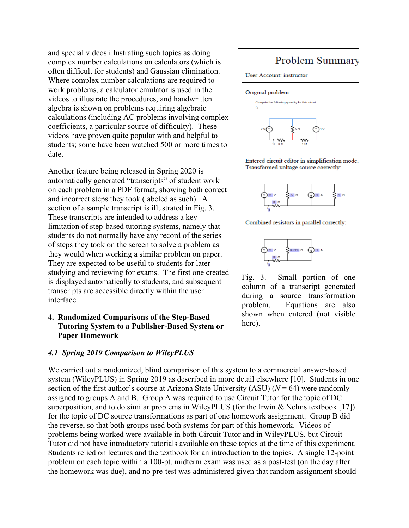and special videos illustrating such topics as doing complex number calculations on calculators (which is often difficult for students) and Gaussian elimination. Where complex number calculations are required to work problems, a calculator emulator is used in the videos to illustrate the procedures, and handwritten algebra is shown on problems requiring algebraic calculations (including AC problems involving complex coefficients, a particular source of difficulty). These videos have proven quite popular with and helpful to students; some have been watched 500 or more times to date.

Another feature being released in Spring 2020 is automatically generated "transcripts" of student work on each problem in a PDF format, showing both correct and incorrect steps they took (labeled as such). A section of a sample transcript is illustrated in Fig. 3. These transcripts are intended to address a key limitation of step-based tutoring systems, namely that students do not normally have any record of the series of steps they took on the screen to solve a problem as they would when working a similar problem on paper. They are expected to be useful to students for later studying and reviewing for exams. The first one created is displayed automatically to students, and subsequent transcripts are accessible directly within the user interface.

### **4. Randomized Comparisons of the Step-Based Tutoring System to a Publisher-Based System or Paper Homework**

### *4.1 Spring 2019 Comparison to WileyPLUS*

## We carried out a randomized, blind comparison of this system to a commercial answer-based system (WileyPLUS) in Spring 2019 as described in more detail elsewhere [10]. Students in one section of the first author's course at Arizona State University (ASU)  $(N = 64)$  were randomly assigned to groups A and B. Group A was required to use Circuit Tutor for the topic of DC superposition, and to do similar problems in WileyPLUS (for the Irwin  $\&$  Nelms textbook [17]) for the topic of DC source transformations as part of one homework assignment. Group B did the reverse, so that both groups used both systems for part of this homework. Videos of problems being worked were available in both Circuit Tutor and in WileyPLUS, but Circuit Tutor did not have introductory tutorials available on these topics at the time of this experiment. Students relied on lectures and the textbook for an introduction to the topics. A single 12-point problem on each topic within a 100-pt. midterm exam was used as a post-test (on the day after the homework was due), and no pre-test was administered given that random assignment should

# Problem Summary

#### User Account: instructor

#### Original problem:



Entered circuit editor in simplification mode. Transformed voltage source correctly:







Fig. 3. Small portion of one column of a transcript generated during a source transformation problem. Equations are also shown when entered (not visible here).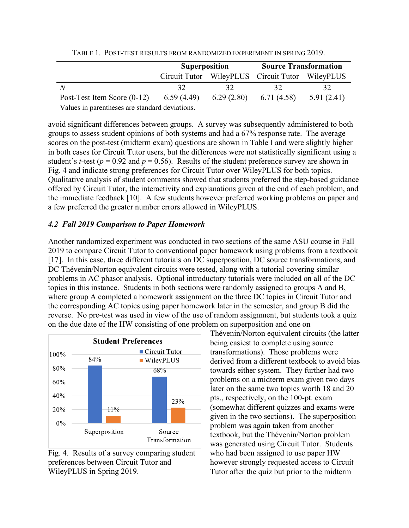|                                                  |                      |            | <b>Source Transformation</b>                    |            |  |  |  |
|--------------------------------------------------|----------------------|------------|-------------------------------------------------|------------|--|--|--|
|                                                  | <b>Superposition</b> |            |                                                 |            |  |  |  |
|                                                  |                      |            | Circuit Tutor WileyPLUS Circuit Tutor WileyPLUS |            |  |  |  |
| N                                                | 32                   |            | 32                                              | 32.        |  |  |  |
| Post-Test Item Score $(0-12)$                    | 6.59 (4.49)          | 6.29(2.80) | 6.71(4.58)                                      | 5.91(2.41) |  |  |  |
| Village to account case on the local devictions. |                      |            |                                                 |            |  |  |  |

TABLE 1. POST-TEST RESULTS FROM RANDOMIZED EXPERIMENT IN SPRING 2019.

Values in parentheses are standard deviations.

avoid significant differences between groups. A survey was subsequently administered to both groups to assess student opinions of both systems and had a 67% response rate. The average scores on the post-test (midterm exam) questions are shown in Table I and were slightly higher in both cases for Circuit Tutor users, but the differences were not statistically significant using a student's *t*-test ( $p = 0.92$  and  $p = 0.56$ ). Results of the student preference survey are shown in Fig. 4 and indicate strong preferences for Circuit Tutor over WileyPLUS for both topics. Qualitative analysis of student comments showed that students preferred the step-based guidance offered by Circuit Tutor, the interactivity and explanations given at the end of each problem, and the immediate feedback [10]. A few students however preferred working problems on paper and a few preferred the greater number errors allowed in WileyPLUS.

### *4.2 Fall 2019 Comparison to Paper Homework*

Another randomized experiment was conducted in two sections of the same ASU course in Fall 2019 to compare Circuit Tutor to conventional paper homework using problems from a textbook [17]. In this case, three different tutorials on DC superposition, DC source transformations, and DC Thévenin/Norton equivalent circuits were tested, along with a tutorial covering similar problems in AC phasor analysis. Optional introductory tutorials were included on all of the DC topics in this instance. Students in both sections were randomly assigned to groups A and B, where group A completed a homework assignment on the three DC topics in Circuit Tutor and the corresponding AC topics using paper homework later in the semester, and group B did the reverse. No pre-test was used in view of the use of random assignment, but students took a quiz on the due date of the HW consisting of one problem on superposition and one on



Fig. 4. Results of a survey comparing student preferences between Circuit Tutor and WileyPLUS in Spring 2019.

Thévenin/Norton equivalent circuits (the latter being easiest to complete using source transformations). Those problems were derived from a different textbook to avoid bias towards either system. They further had two problems on a midterm exam given two days later on the same two topics worth 18 and 20 pts., respectively, on the 100-pt. exam (somewhat different quizzes and exams were given in the two sections). The superposition problem was again taken from another textbook, but the Thévenin/Norton problem was generated using Circuit Tutor. Students who had been assigned to use paper HW however strongly requested access to Circuit Tutor after the quiz but prior to the midterm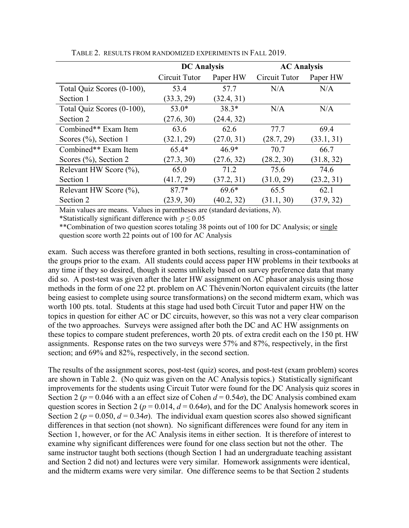|                            | <b>DC</b> Analysis |            | <b>AC Analysis</b> |            |  |
|----------------------------|--------------------|------------|--------------------|------------|--|
|                            | Circuit Tutor      | Paper HW   | Circuit Tutor      | Paper HW   |  |
| Total Quiz Scores (0-100), | 53.4               | 57.7       | N/A                | N/A        |  |
| Section 1                  | (33.3, 29)         | (32.4, 31) |                    |            |  |
| Total Quiz Scores (0-100), | $53.0*$            | $38.3*$    | N/A                | N/A        |  |
| Section 2                  | (27.6, 30)         | (24.4, 32) |                    |            |  |
| Combined** Exam Item       | 63.6               | 62.6       | 77.7               | 69.4       |  |
| Scores $(\% )$ , Section 1 | (32.1, 29)         | (27.0, 31) | (28.7, 29)         | (33.1, 31) |  |
| Combined** Exam Item       | $65.4*$            | $46.9*$    | 70.7               | 66.7       |  |
| Scores $(\%)$ , Section 2  | (27.3, 30)         | (27.6, 32) | (28.2, 30)         | (31.8, 32) |  |
| Relevant HW Score (%),     | 65.0               | 71.2       | 75.6               | 74.6       |  |
| Section 1                  | (41.7, 29)         | (37.2, 31) | (31.0, 29)         | (23.2, 31) |  |
| Relevant HW Score (%),     | $87.7*$            | $69.6*$    | 65.5               | 62.1       |  |
| Section 2                  | (23.9, 30)         | (40.2, 32) | (31.1, 30)         | (37.9, 32) |  |

TABLE 2. RESULTS FROM RANDOMIZED EXPERIMENTS IN FALL 2019.

Main values are means. Values in parentheses are (standard deviations, *N*).

\*Statistically significant difference with *p* ≤ 0.05

\*\*Combination of two question scores totaling 38 points out of 100 for DC Analysis; or single question score worth 22 points out of 100 for AC Analysis

exam. Such access was therefore granted in both sections, resulting in cross-contamination of the groups prior to the exam. All students could access paper HW problems in their textbooks at any time if they so desired, though it seems unlikely based on survey preference data that many did so. A post-test was given after the later HW assignment on AC phasor analysis using those methods in the form of one 22 pt. problem on AC Thévenin/Norton equivalent circuits (the latter being easiest to complete using source transformations) on the second midterm exam, which was worth 100 pts. total. Students at this stage had used both Circuit Tutor and paper HW on the topics in question for either AC or DC circuits, however, so this was not a very clear comparison of the two approaches. Surveys were assigned after both the DC and AC HW assignments on these topics to compare student preferences, worth 20 pts. of extra credit each on the 150 pt. HW assignments. Response rates on the two surveys were 57% and 87%, respectively, in the first section; and 69% and 82%, respectively, in the second section.

The results of the assignment scores, post-test (quiz) scores, and post-test (exam problem) scores are shown in Table 2. (No quiz was given on the AC Analysis topics.) Statistically significant improvements for the students using Circuit Tutor were found for the DC Analysis quiz scores in Section 2 ( $p = 0.046$  with a an effect size of Cohen  $d = 0.54\sigma$ ), the DC Analysis combined exam question scores in Section 2 ( $p = 0.014$ ,  $d = 0.64\sigma$ ), and for the DC Analysis homework scores in Section 2 ( $p = 0.050$ ,  $d = 0.34\sigma$ ). The individual exam question scores also showed significant differences in that section (not shown). No significant differences were found for any item in Section 1, however, or for the AC Analysis items in either section. It is therefore of interest to examine why significant differences were found for one class section but not the other. The same instructor taught both sections (though Section 1 had an undergraduate teaching assistant and Section 2 did not) and lectures were very similar. Homework assignments were identical, and the midterm exams were very similar. One difference seems to be that Section 2 students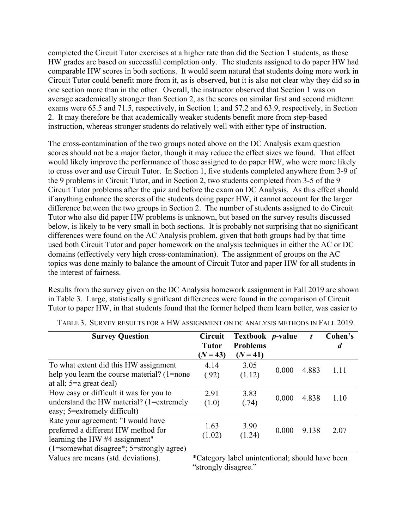completed the Circuit Tutor exercises at a higher rate than did the Section 1 students, as those HW grades are based on successful completion only. The students assigned to do paper HW had comparable HW scores in both sections. It would seem natural that students doing more work in Circuit Tutor could benefit more from it, as is observed, but it is also not clear why they did so in one section more than in the other. Overall, the instructor observed that Section 1 was on average academically stronger than Section 2, as the scores on similar first and second midterm exams were 65.5 and 71.5, respectively, in Section 1; and 57.2 and 63.9, respectively, in Section 2. It may therefore be that academically weaker students benefit more from step-based instruction, whereas stronger students do relatively well with either type of instruction.

The cross-contamination of the two groups noted above on the DC Analysis exam question scores should not be a major factor, though it may reduce the effect sizes we found. That effect would likely improve the performance of those assigned to do paper HW, who were more likely to cross over and use Circuit Tutor. In Section 1, five students completed anywhere from 3-9 of the 9 problems in Circuit Tutor, and in Section 2, two students completed from 3-5 of the 9 Circuit Tutor problems after the quiz and before the exam on DC Analysis. As this effect should if anything enhance the scores of the students doing paper HW, it cannot account for the larger difference between the two groups in Section 2. The number of students assigned to do Circuit Tutor who also did paper HW problems is unknown, but based on the survey results discussed below, is likely to be very small in both sections. It is probably not surprising that no significant differences were found on the AC Analysis problem, given that both groups had by that time used both Circuit Tutor and paper homework on the analysis techniques in either the AC or DC domains (effectively very high cross-contamination). The assignment of groups on the AC topics was done mainly to balance the amount of Circuit Tutor and paper HW for all students in the interest of fairness.

Results from the survey given on the DC Analysis homework assignment in Fall 2019 are shown in Table 3. Large, statistically significant differences were found in the comparison of Circuit Tutor to paper HW, in that students found that the former helped them learn better, was easier to

| <b>Survey Question</b>                                                                                                                                  | <b>Circuit</b><br><b>Tutor</b><br>$(N = 43)$                            | Textbook <i>p</i> -value<br><b>Problems</b><br>$(N = 41)$ |       |       | Cohen's<br>d |
|---------------------------------------------------------------------------------------------------------------------------------------------------------|-------------------------------------------------------------------------|-----------------------------------------------------------|-------|-------|--------------|
| To what extent did this HW assignment<br>help you learn the course material? (1=none<br>at all; $5=a$ great deal)                                       | 4.14<br>(.92)                                                           | 3.05<br>(1.12)                                            | 0.000 | 4.883 | 1.11         |
| How easy or difficult it was for you to<br>understand the HW material? (1=extremely<br>easy; 5=extremely difficult)                                     | 2.91<br>(1.0)                                                           | 3.83<br>(.74)                                             | 0.000 | 4.838 | 1.10         |
| Rate your agreement: "I would have<br>preferred a different HW method for<br>learning the HW #4 assignment"<br>(1=somewhat disagree*; 5=strongly agree) | 1.63<br>(1.02)                                                          | 3.90<br>(1.24)                                            | 0.000 | 9.138 | 2.07         |
| Values are means (std. deviations).                                                                                                                     | *Category label unintentional; should have been<br>"strongly disagree." |                                                           |       |       |              |

TABLE 3. SURVEY RESULTS FOR A HW ASSIGNMENT ON DC ANALYSIS METHODS IN FALL 2019.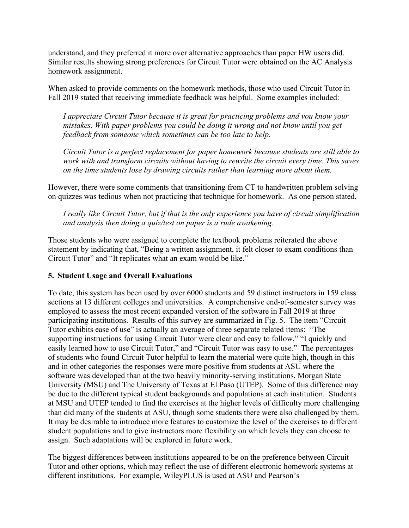understand, and they preferred it more over alternative approaches than paper HW users did. Similar results showing strong preferences for Circuit Tutor were obtained on the AC Analysis homework assignment.

When asked to provide comments on the homework methods, those who used Circuit Tutor in Fall 2019 stated that receiving immediate feedback was helpful. Some examples included:

*I appreciate Circuit Tutor because it is great for practicing problems and you know your mistakes. With paper problems you could be doing it wrong and not know until you get feedback from someone which sometimes can be too late to help.* 

*Circuit Tutor is a perfect replacement for paper homework because students are still able to work with and transform circuits without having to rewrite the circuit every time. This saves on the time students lose by drawing circuits rather than learning more about them.* 

However, there were some comments that transitioning from CT to handwritten problem solving on quizzes was tedious when not practicing that technique for homework. As one person stated,

*I really like Circuit Tutor, but if that is the only experience you have of circuit simplification and analysis then doing a quiz/test on paper is a rude awakening.* 

Those students who were assigned to complete the textbook problems reiterated the above statement by indicating that, "Being a written assignment, it felt closer to exam conditions than Circuit Tutor" and "It replicates what an exam would be like."

# **5. Student Usage and Overall Evaluations**

To date, this system has been used by over 6000 students and 59 distinct instructors in 159 class sections at 13 different colleges and universities. A comprehensive end-of-semester survey was employed to assess the most recent expanded version of the software in Fall 2019 at three participating institutions. Results of this survey are summarized in Fig. 5. The item "Circuit Tutor exhibits ease of use" is actually an average of three separate related items: "The supporting instructions for using Circuit Tutor were clear and easy to follow," "I quickly and easily learned how to use Circuit Tutor," and "Circuit Tutor was easy to use." The percentages of students who found Circuit Tutor helpful to learn the material were quite high, though in this and in other categories the responses were more positive from students at ASU where the software was developed than at the two heavily minority-serving institutions, Morgan State University (MSU) and The University of Texas at El Paso (UTEP). Some of this difference may be due to the different typical student backgrounds and populations at each institution. Students at MSU and UTEP tended to find the exercises at the higher levels of difficulty more challenging than did many of the students at ASU, though some students there were also challenged by them. It may be desirable to introduce more features to customize the level of the exercises to different student populations and to give instructors more flexibility on which levels they can choose to assign. Such adaptations will be explored in future work.

The biggest differences between institutions appeared to be on the preference between Circuit Tutor and other options, which may reflect the use of different electronic homework systems at different institutions. For example, WileyPLUS is used at ASU and Pearson's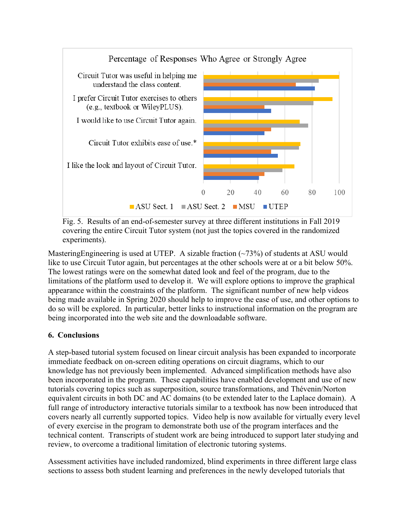

Fig. 5. Results of an end-of-semester survey at three different institutions in Fall 2019 covering the entire Circuit Tutor system (not just the topics covered in the randomized experiments).

Mastering Engineering is used at UTEP. A sizable fraction  $(\sim 73\%)$  of students at ASU would like to use Circuit Tutor again, but percentages at the other schools were at or a bit below 50%. The lowest ratings were on the somewhat dated look and feel of the program, due to the limitations of the platform used to develop it. We will explore options to improve the graphical appearance within the constraints of the platform. The significant number of new help videos being made available in Spring 2020 should help to improve the ease of use, and other options to do so will be explored. In particular, better links to instructional information on the program are being incorporated into the web site and the downloadable software.

# **6. Conclusions**

A step-based tutorial system focused on linear circuit analysis has been expanded to incorporate immediate feedback on on-screen editing operations on circuit diagrams, which to our knowledge has not previously been implemented. Advanced simplification methods have also been incorporated in the program. These capabilities have enabled development and use of new tutorials covering topics such as superposition, source transformations, and Thévenin/Norton equivalent circuits in both DC and AC domains (to be extended later to the Laplace domain). A full range of introductory interactive tutorials similar to a textbook has now been introduced that covers nearly all currently supported topics. Video help is now available for virtually every level of every exercise in the program to demonstrate both use of the program interfaces and the technical content. Transcripts of student work are being introduced to support later studying and review, to overcome a traditional limitation of electronic tutoring systems.

Assessment activities have included randomized, blind experiments in three different large class sections to assess both student learning and preferences in the newly developed tutorials that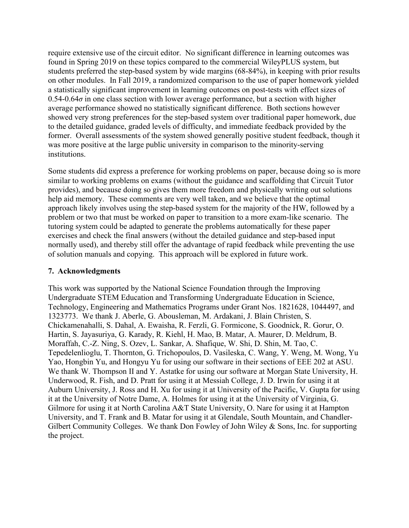require extensive use of the circuit editor. No significant difference in learning outcomes was found in Spring 2019 on these topics compared to the commercial WileyPLUS system, but students preferred the step-based system by wide margins (68-84%), in keeping with prior results on other modules. In Fall 2019, a randomized comparison to the use of paper homework yielded a statistically significant improvement in learning outcomes on post-tests with effect sizes of 0.54-0.64*σ* in one class section with lower average performance, but a section with higher average performance showed no statistically significant difference. Both sections however showed very strong preferences for the step-based system over traditional paper homework, due to the detailed guidance, graded levels of difficulty, and immediate feedback provided by the former. Overall assessments of the system showed generally positive student feedback, though it was more positive at the large public university in comparison to the minority-serving institutions.

Some students did express a preference for working problems on paper, because doing so is more similar to working problems on exams (without the guidance and scaffolding that Circuit Tutor provides), and because doing so gives them more freedom and physically writing out solutions help aid memory. These comments are very well taken, and we believe that the optimal approach likely involves using the step-based system for the majority of the HW, followed by a problem or two that must be worked on paper to transition to a more exam-like scenario. The tutoring system could be adapted to generate the problems automatically for these paper exercises and check the final answers (without the detailed guidance and step-based input normally used), and thereby still offer the advantage of rapid feedback while preventing the use of solution manuals and copying. This approach will be explored in future work.

# **7. Acknowledgments**

This work was supported by the National Science Foundation through the Improving Undergraduate STEM Education and Transforming Undergraduate Education in Science, Technology, Engineering and Mathematics Programs under Grant Nos. 1821628, 1044497, and 1323773. We thank J. Aberle, G. Abousleman, M. Ardakani, J. Blain Christen, S. Chickamenahalli, S. Dahal, A. Ewaisha, R. Ferzli, G. Formicone, S. Goodnick, R. Gorur, O. Hartin, S. Jayasuriya, G. Karady, R. Kiehl, H. Mao, B. Matar, A. Maurer, D. Meldrum, B. Moraffah, C.-Z. Ning, S. Ozev, L. Sankar, A. Shafique, W. Shi, D. Shin, M. Tao, C. Tepedelenlioglu, T. Thornton, G. Trichopoulos, D. Vasileska, C. Wang, Y. Weng, M. Wong, Yu Yao, Hongbin Yu, and Hongyu Yu for using our software in their sections of EEE 202 at ASU. We thank W. Thompson II and Y. Astatke for using our software at Morgan State University, H. Underwood, R. Fish, and D. Pratt for using it at Messiah College, J. D. Irwin for using it at Auburn University, J. Ross and H. Xu for using it at University of the Pacific, V. Gupta for using it at the University of Notre Dame, A. Holmes for using it at the University of Virginia, G. Gilmore for using it at North Carolina A&T State University, O. Nare for using it at Hampton University, and T. Frank and B. Matar for using it at Glendale, South Mountain, and Chandler-Gilbert Community Colleges. We thank Don Fowley of John Wiley & Sons, Inc. for supporting the project.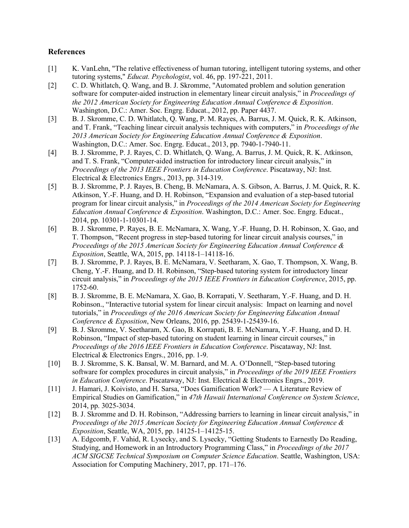### **References**

- [1] K. VanLehn, "The relative effectiveness of human tutoring, intelligent tutoring systems, and other tutoring systems," *Educat. Psychologist*, vol. 46, pp. 197-221, 2011.
- [2] C. D. Whitlatch, Q. Wang, and B. J. Skromme, "Automated problem and solution generation software for computer-aided instruction in elementary linear circuit analysis," in *Proceedings of the 2012 American Society for Engineering Education Annual Conference & Exposition*. Washington, D.C.: Amer. Soc. Engrg. Educat., 2012, pp. Paper 4437.
- [3] B. J. Skromme, C. D. Whitlatch, Q. Wang, P. M. Rayes, A. Barrus, J. M. Quick, R. K. Atkinson, and T. Frank, "Teaching linear circuit analysis techniques with computers," in *Proceedings of the 2013 American Society for Engineering Education Annual Conference & Exposition*. Washington, D.C.: Amer. Soc. Engrg. Educat., 2013, pp. 7940-1-7940-11.
- [4] B. J. Skromme, P. J. Rayes, C. D. Whitlatch, Q. Wang, A. Barrus, J. M. Quick, R. K. Atkinson, and T. S. Frank, "Computer-aided instruction for introductory linear circuit analysis," in *Proceedings of the 2013 IEEE Frontiers in Education Conference*. Piscataway, NJ: Inst. Electrical & Electronics Engrs., 2013, pp. 314-319.
- [5] B. J. Skromme, P. J. Rayes, B. Cheng, B. McNamara, A. S. Gibson, A. Barrus, J. M. Quick, R. K. Atkinson, Y.-F. Huang, and D. H. Robinson, "Expansion and evaluation of a step-based tutorial program for linear circuit analysis," in *Proceedings of the 2014 American Society for Engineering Education Annual Conference & Exposition*. Washington, D.C.: Amer. Soc. Engrg. Educat., 2014, pp. 10301-1-10301-14.
- [6] B. J. Skromme, P. Rayes, B. E. McNamara, X. Wang, Y.-F. Huang, D. H. Robinson, X. Gao, and T. Thompson, "Recent progress in step-based tutoring for linear circuit analysis courses," in *Proceedings of the 2015 American Society for Engineering Education Annual Conference & Exposition*, Seattle, WA, 2015, pp. 14118-1–14118-16.
- [7] B. J. Skromme, P. J. Rayes, B. E. McNamara, V. Seetharam, X. Gao, T. Thompson, X. Wang, B. Cheng, Y.-F. Huang, and D. H. Robinson, "Step-based tutoring system for introductory linear circuit analysis," in *Proceedings of the 2015 IEEE Frontiers in Education Conference*, 2015, pp. 1752-60.
- [8] B. J. Skromme, B. E. McNamara, X. Gao, B. Korrapati, V. Seetharam, Y.-F. Huang, and D. H. Robinson., "Interactive tutorial system for linear circuit analysis: Impact on learning and novel tutorials," in *Proceedings of the 2016 American Society for Engineering Education Annual Conference & Exposition*, New Orleans, 2016, pp. 25439-1-25439-16.
- [9] B. J. Skromme, V. Seetharam, X. Gao, B. Korrapati, B. E. McNamara, Y.-F. Huang, and D. H. Robinson, "Impact of step-based tutoring on student learning in linear circuit courses," in *Proceedings of the 2016 IEEE Frontiers in Education Conference*. Piscataway, NJ: Inst. Electrical & Electronics Engrs., 2016, pp. 1-9.
- [10] B. J. Skromme, S. K. Bansal, W. M. Barnard, and M. A. O'Donnell, "Step-based tutoring software for complex procedures in circuit analysis," in *Proceedings of the 2019 IEEE Frontiers in Education Conference*. Piscataway, NJ: Inst. Electrical & Electronics Engrs., 2019.
- [11] J. Hamari, J. Koivisto, and H. Sarsa, "Does Gamification Work? A Literature Review of Empirical Studies on Gamification," in *47th Hawaii International Conference on System Science*, 2014, pp. 3025-3034.
- [12] B. J. Skromme and D. H. Robinson, "Addressing barriers to learning in linear circuit analysis," in *Proceedings of the 2015 American Society for Engineering Education Annual Conference & Exposition*, Seattle, WA, 2015, pp. 14125-1–14125-15.
- [13] A. Edgcomb, F. Vahid, R. Lysecky, and S. Lysecky, "Getting Students to Earnestly Do Reading, Studying, and Homework in an Introductory Programming Class," in *Proceedings of the 2017 ACM SIGCSE Technical Symposium on Computer Science Education*. Seattle, Washington, USA: Association for Computing Machinery, 2017, pp. 171–176.